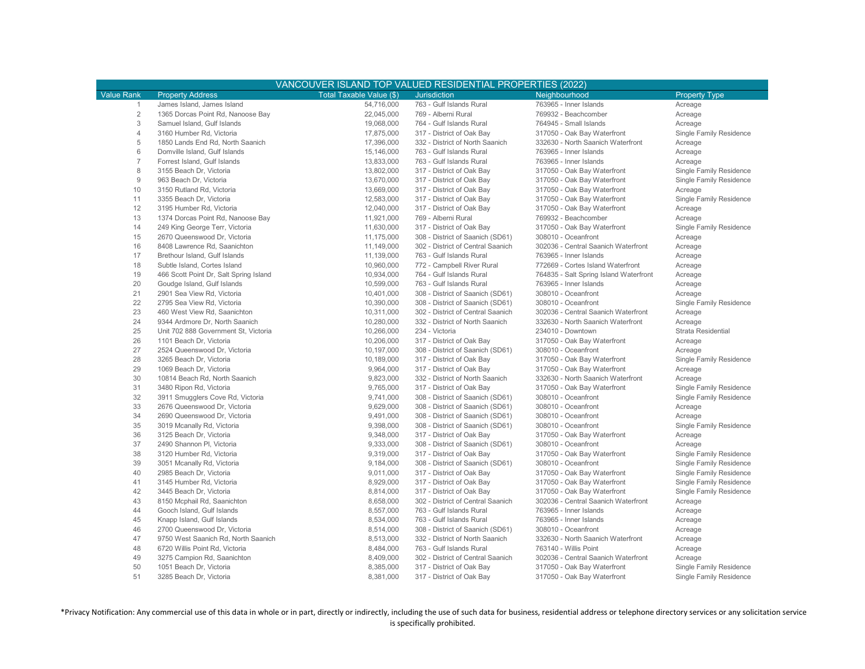|                   | VANCOUVER ISLAND TOP VALUED RESIDENTIAL PROPERTIES (2022) |                          |                                   |                                        |                         |  |  |  |  |
|-------------------|-----------------------------------------------------------|--------------------------|-----------------------------------|----------------------------------------|-------------------------|--|--|--|--|
| <b>Value Rank</b> | <b>Property Address</b>                                   | Total Taxable Value (\$) | Jurisdiction                      | Neighbourhood                          | <b>Property Type</b>    |  |  |  |  |
| $\mathbf{1}$      | James Island, James Island                                | 54.716.000               | 763 - Gulf Islands Rural          | 763965 - Inner Islands                 | Acreage                 |  |  |  |  |
| $\sqrt{2}$        | 1365 Dorcas Point Rd, Nanoose Bay                         | 22,045,000               | 769 - Alberni Rural               | 769932 - Beachcomber                   | Acreage                 |  |  |  |  |
| 3                 | Samuel Island, Gulf Islands                               | 19,068,000               | 764 - Gulf Islands Rural          | 764945 - Small Islands                 | Acreage                 |  |  |  |  |
| $\overline{4}$    | 3160 Humber Rd, Victoria                                  | 17,875,000               | 317 - District of Oak Bay         | 317050 - Oak Bay Waterfront            | Single Family Residence |  |  |  |  |
| 5                 | 1850 Lands End Rd, North Saanich                          | 17,396,000               | 332 - District of North Saanich   | 332630 - North Saanich Waterfront      | Acreage                 |  |  |  |  |
| $6\,$             | Domville Island, Gulf Islands                             | 15,146,000               | 763 - Gulf Islands Rural          | 763965 - Inner Islands                 | Acreage                 |  |  |  |  |
| $\overline{7}$    | Forrest Island, Gulf Islands                              | 13,833,000               | 763 - Gulf Islands Rural          | 763965 - Inner Islands                 | Acreage                 |  |  |  |  |
| 8                 | 3155 Beach Dr, Victoria                                   | 13,802,000               | 317 - District of Oak Bay         | 317050 - Oak Bay Waterfront            | Single Family Residence |  |  |  |  |
| 9                 | 963 Beach Dr, Victoria                                    | 13,670,000               | 317 - District of Oak Bay         | 317050 - Oak Bay Waterfront            | Single Family Residence |  |  |  |  |
| 10                | 3150 Rutland Rd, Victoria                                 | 13,669,000               | 317 - District of Oak Bay         | 317050 - Oak Bay Waterfront            | Acreage                 |  |  |  |  |
| 11                | 3355 Beach Dr. Victoria                                   | 12,583,000               | 317 - District of Oak Bay         | 317050 - Oak Bay Waterfront            | Single Family Residence |  |  |  |  |
| 12                | 3195 Humber Rd, Victoria                                  | 12,040,000               | 317 - District of Oak Bay         | 317050 - Oak Bay Waterfront            | Acreage                 |  |  |  |  |
| 13                | 1374 Dorcas Point Rd, Nanoose Bay                         | 11,921,000               | 769 - Alberni Rural               | 769932 - Beachcomber                   | Acreage                 |  |  |  |  |
| 14                | 249 King George Terr, Victoria                            | 11,630,000               | 317 - District of Oak Bay         | 317050 - Oak Bay Waterfront            | Single Family Residence |  |  |  |  |
| 15                | 2670 Queenswood Dr, Victoria                              | 11,175,000               | 308 - District of Saanich (SD61)  | 308010 - Oceanfront                    | Acreage                 |  |  |  |  |
| 16                | 8408 Lawrence Rd, Saanichton                              | 11,149,000               | 302 - District of Central Saanich | 302036 - Central Saanich Waterfront    | Acreage                 |  |  |  |  |
| 17                | Brethour Island, Gulf Islands                             | 11,139,000               | 763 - Gulf Islands Rural          | 763965 - Inner Islands                 | Acreage                 |  |  |  |  |
| 18                | Subtle Island, Cortes Island                              | 10,960,000               | 772 - Campbell River Rural        | 772669 - Cortes Island Waterfront      | Acreage                 |  |  |  |  |
| 19                | 466 Scott Point Dr, Salt Spring Island                    | 10,934,000               | 764 - Gulf Islands Rural          | 764835 - Salt Spring Island Waterfront | Acreage                 |  |  |  |  |
| 20                | Goudge Island, Gulf Islands                               | 10,599,000               | 763 - Gulf Islands Rural          | 763965 - Inner Islands                 | Acreage                 |  |  |  |  |
| 21                | 2901 Sea View Rd, Victoria                                | 10,401,000               | 308 - District of Saanich (SD61)  | 308010 - Oceanfront                    | Acreage                 |  |  |  |  |
| 22                | 2795 Sea View Rd, Victoria                                | 10,390,000               | 308 - District of Saanich (SD61)  | 308010 - Oceanfront                    | Single Family Residence |  |  |  |  |
| 23                | 460 West View Rd, Saanichton                              | 10,311,000               | 302 - District of Central Saanich | 302036 - Central Saanich Waterfront    | Acreage                 |  |  |  |  |
| 24                | 9344 Ardmore Dr, North Saanich                            | 10,280,000               | 332 - District of North Saanich   | 332630 - North Saanich Waterfront      | Acreage                 |  |  |  |  |
| 25                | Unit 702 888 Government St, Victoria                      | 10,266,000               | 234 - Victoria                    | 234010 - Downtown                      | Strata Residential      |  |  |  |  |
| 26                | 1101 Beach Dr, Victoria                                   | 10,206,000               | 317 - District of Oak Bay         | 317050 - Oak Bay Waterfront            | Acreage                 |  |  |  |  |
| 27                | 2524 Queenswood Dr, Victoria                              | 10,197,000               | 308 - District of Saanich (SD61)  | 308010 - Oceanfront                    | Acreage                 |  |  |  |  |
| 28                | 3265 Beach Dr. Victoria                                   | 10,189,000               | 317 - District of Oak Bay         | 317050 - Oak Bay Waterfront            | Single Family Residence |  |  |  |  |
| 29                | 1069 Beach Dr, Victoria                                   | 9,964,000                | 317 - District of Oak Bay         | 317050 - Oak Bay Waterfront            | Acreage                 |  |  |  |  |
| 30                | 10814 Beach Rd, North Saanich                             | 9,823,000                | 332 - District of North Saanich   | 332630 - North Saanich Waterfront      | Acreage                 |  |  |  |  |
| 31                | 3480 Ripon Rd, Victoria                                   | 9,765,000                | 317 - District of Oak Bay         | 317050 - Oak Bay Waterfront            | Single Family Residence |  |  |  |  |
| 32                | 3911 Smugglers Cove Rd, Victoria                          | 9,741,000                | 308 - District of Saanich (SD61)  | 308010 - Oceanfront                    | Single Family Residence |  |  |  |  |
| 33                | 2676 Queenswood Dr, Victoria                              | 9,629,000                | 308 - District of Saanich (SD61)  | 308010 - Oceanfront                    | Acreage                 |  |  |  |  |
| 34                | 2690 Queenswood Dr, Victoria                              | 9,491,000                | 308 - District of Saanich (SD61)  | 308010 - Oceanfront                    | Acreage                 |  |  |  |  |
| 35                | 3019 Mcanally Rd, Victoria                                | 9,398,000                | 308 - District of Saanich (SD61)  | 308010 - Oceanfront                    | Single Family Residence |  |  |  |  |
| 36                | 3125 Beach Dr, Victoria                                   | 9,348,000                | 317 - District of Oak Bay         | 317050 - Oak Bay Waterfront            | Acreage                 |  |  |  |  |
| 37                | 2490 Shannon Pl, Victoria                                 | 9,333,000                | 308 - District of Saanich (SD61)  | 308010 - Oceanfront                    | Acreage                 |  |  |  |  |
| 38                | 3120 Humber Rd, Victoria                                  | 9,319,000                | 317 - District of Oak Bay         | 317050 - Oak Bay Waterfront            | Single Family Residence |  |  |  |  |
| 39                | 3051 Mcanally Rd, Victoria                                | 9,184,000                | 308 - District of Saanich (SD61)  | 308010 - Oceanfront                    | Single Family Residence |  |  |  |  |
| 40                | 2985 Beach Dr, Victoria                                   | 9,011,000                | 317 - District of Oak Bay         | 317050 - Oak Bay Waterfront            | Single Family Residence |  |  |  |  |
| 41                | 3145 Humber Rd, Victoria                                  | 8,929,000                | 317 - District of Oak Bay         | 317050 - Oak Bay Waterfront            | Single Family Residence |  |  |  |  |
| 42                | 3445 Beach Dr, Victoria                                   | 8,814,000                | 317 - District of Oak Bay         | 317050 - Oak Bay Waterfront            | Single Family Residence |  |  |  |  |
| 43                | 8150 Mcphail Rd, Saanichton                               | 8,658,000                | 302 - District of Central Saanich | 302036 - Central Saanich Waterfront    | Acreage                 |  |  |  |  |
| 44                | Gooch Island, Gulf Islands                                | 8,557,000                | 763 - Gulf Islands Rural          | 763965 - Inner Islands                 | Acreage                 |  |  |  |  |
| 45                | Knapp Island, Gulf Islands                                | 8,534,000                | 763 - Gulf Islands Rural          | 763965 - Inner Islands                 | Acreage                 |  |  |  |  |
| 46                | 2700 Queenswood Dr, Victoria                              | 8,514,000                | 308 - District of Saanich (SD61)  | 308010 - Oceanfront                    | Acreage                 |  |  |  |  |
| 47                | 9750 West Saanich Rd, North Saanich                       | 8,513,000                | 332 - District of North Saanich   | 332630 - North Saanich Waterfront      | Acreage                 |  |  |  |  |
| 48                | 6720 Willis Point Rd, Victoria                            | 8,484,000                | 763 - Gulf Islands Rural          | 763140 - Willis Point                  | Acreage                 |  |  |  |  |
| 49                | 3275 Campion Rd, Saanichton                               | 8,409,000                | 302 - District of Central Saanich | 302036 - Central Saanich Waterfront    | Acreage                 |  |  |  |  |
| 50                | 1051 Beach Dr, Victoria                                   | 8,385,000                | 317 - District of Oak Bay         | 317050 - Oak Bay Waterfront            | Single Family Residence |  |  |  |  |
| 51                | 3285 Beach Dr, Victoria                                   | 8.381.000                | 317 - District of Oak Bay         | 317050 - Oak Bay Waterfront            | Single Family Residence |  |  |  |  |

\*Privacy Notification: Any commercial use of this data in whole or in part, directly or indirectly, including the use of such data for business, residential address or telephone directory services or any solicitation service is specifically prohibited.